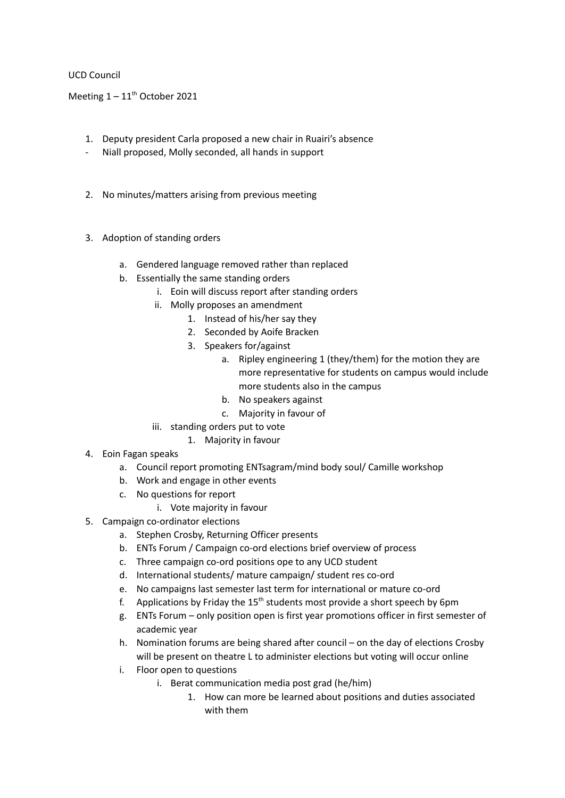# UCD Council

Meeting  $1 - 11$ <sup>th</sup> October 2021

- 1. Deputy president Carla proposed a new chair in Ruairi's absence
- Niall proposed, Molly seconded, all hands in support
- 2. No minutes/matters arising from previous meeting
- 3. Adoption of standing orders
	- a. Gendered language removed rather than replaced
	- b. Essentially the same standing orders
		- i. Eoin will discuss report after standing orders
		- ii. Molly proposes an amendment
			- 1. Instead of his/her say they
			- 2. Seconded by Aoife Bracken
			- 3. Speakers for/against
				- a. Ripley engineering 1 (they/them) for the motion they are more representative for students on campus would include more students also in the campus
				- b. No speakers against
				- c. Majority in favour of
		- iii. standing orders put to vote
			- 1. Majority in favour
- 4. Eoin Fagan speaks
	- a. Council report promoting ENTsagram/mind body soul/ Camille workshop
	- b. Work and engage in other events
	- c. No questions for report
		- i. Vote majority in favour
- 5. Campaign co-ordinator elections
	- a. Stephen Crosby, Returning Officer presents
	- b. ENTs Forum / Campaign co-ord elections brief overview of process
	- c. Three campaign co-ord positions ope to any UCD student
	- d. International students/ mature campaign/ student res co-ord
	- e. No campaigns last semester last term for international or mature co-ord
	- f. Applications by Friday the 15<sup>th</sup> students most provide a short speech by 6pm
	- g. ENTs Forum only position open is first year promotions officer in first semester of academic year
	- h. Nomination forums are being shared after council on the day of elections Crosby will be present on theatre L to administer elections but voting will occur online
	- i. Floor open to questions
		- i. Berat communication media post grad (he/him)
			- 1. How can more be learned about positions and duties associated with them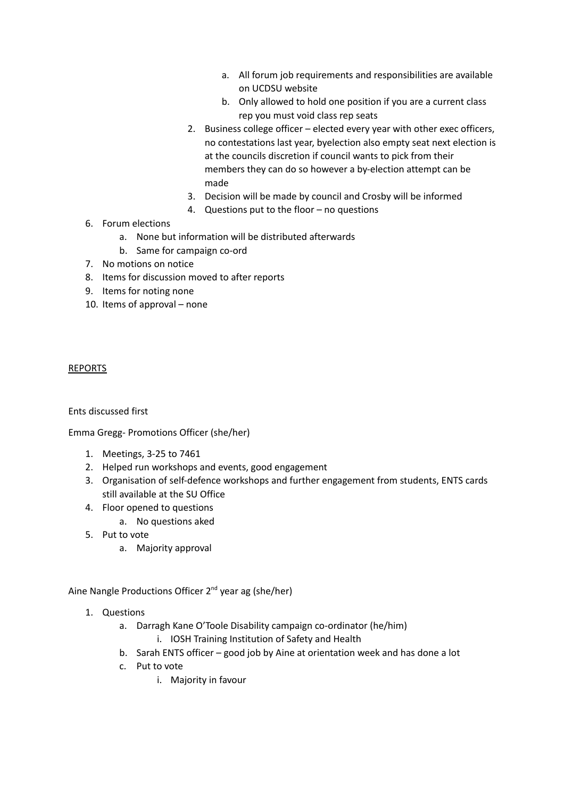- a. All forum job requirements and responsibilities are available on UCDSU website
- b. Only allowed to hold one position if you are a current class rep you must void class rep seats
- 2. Business college officer elected every year with other exec officers, no contestations last year, byelection also empty seat next election is at the councils discretion if council wants to pick from their members they can do so however a by-election attempt can be made
- 3. Decision will be made by council and Crosby will be informed
- 4. Questions put to the floor no questions
- 6. Forum elections
	- a. None but information will be distributed afterwards
	- b. Same for campaign co-ord
- 7. No motions on notice
- 8. Items for discussion moved to after reports
- 9. Items for noting none
- 10. Items of approval none

#### REPORTS

Ents discussed first

Emma Gregg- Promotions Officer (she/her)

- 1. Meetings, 3-25 to 7461
- 2. Helped run workshops and events, good engagement
- 3. Organisation of self-defence workshops and further engagement from students, ENTS cards still available at the SU Office
- 4. Floor opened to questions
	- a. No questions aked
- 5. Put to vote
	- a. Majority approval

Aine Nangle Productions Officer 2<sup>nd</sup> year ag (she/her)

- 1. Questions
	- a. Darragh Kane O'Toole Disability campaign co-ordinator (he/him)
		- i. IOSH Training Institution of Safety and Health
	- b. Sarah ENTS officer good job by Aine at orientation week and has done a lot
	- c. Put to vote
		- i. Majority in favour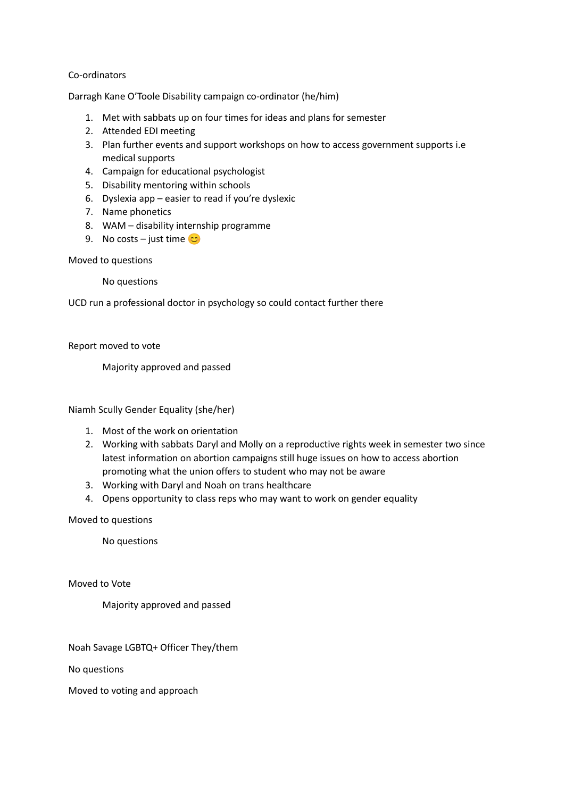### Co-ordinators

Darragh Kane O'Toole Disability campaign co-ordinator (he/him)

- 1. Met with sabbats up on four times for ideas and plans for semester
- 2. Attended EDI meeting
- 3. Plan further events and support workshops on how to access government supports i.e medical supports
- 4. Campaign for educational psychologist
- 5. Disability mentoring within schools
- 6. Dyslexia app easier to read if you're dyslexic
- 7. Name phonetics
- 8. WAM disability internship programme
- 9. No costs just time  $\circ$

### Moved to questions

No questions

UCD run a professional doctor in psychology so could contact further there

Report moved to vote

Majority approved and passed

Niamh Scully Gender Equality (she/her)

- 1. Most of the work on orientation
- 2. Working with sabbats Daryl and Molly on a reproductive rights week in semester two since latest information on abortion campaigns still huge issues on how to access abortion promoting what the union offers to student who may not be aware
- 3. Working with Daryl and Noah on trans healthcare
- 4. Opens opportunity to class reps who may want to work on gender equality

Moved to questions

No questions

Moved to Vote

Majority approved and passed

Noah Savage LGBTQ+ Officer They/them

No questions

Moved to voting and approach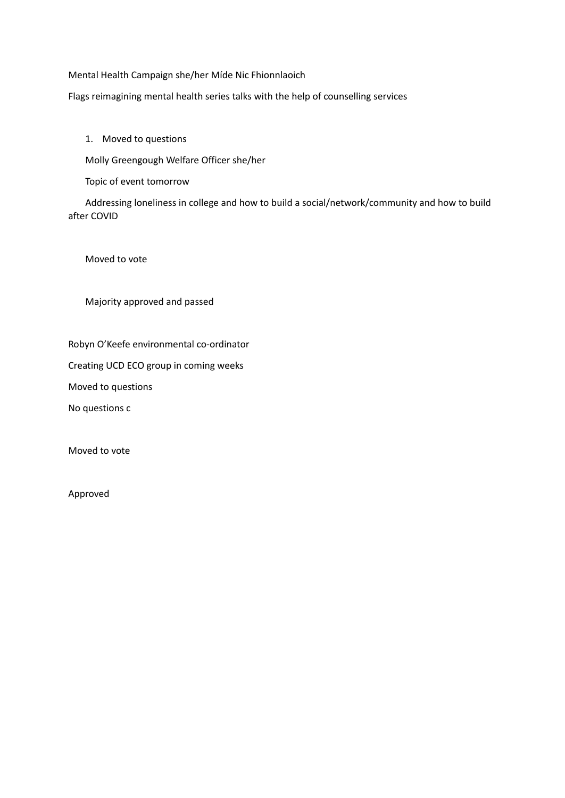Mental Health Campaign she/her Míde Nic Fhionnlaoich

Flags reimagining mental health series talks with the help of counselling services

# 1. Moved to questions

Molly Greengough Welfare Officer she/her

Topic of event tomorrow

Addressing loneliness in college and how to build a social/network/community and how to build after COVID

Moved to vote

Majority approved and passed

Robyn O'Keefe environmental co-ordinator

Creating UCD ECO group in coming weeks

Moved to questions

No questions c

Moved to vote

Approved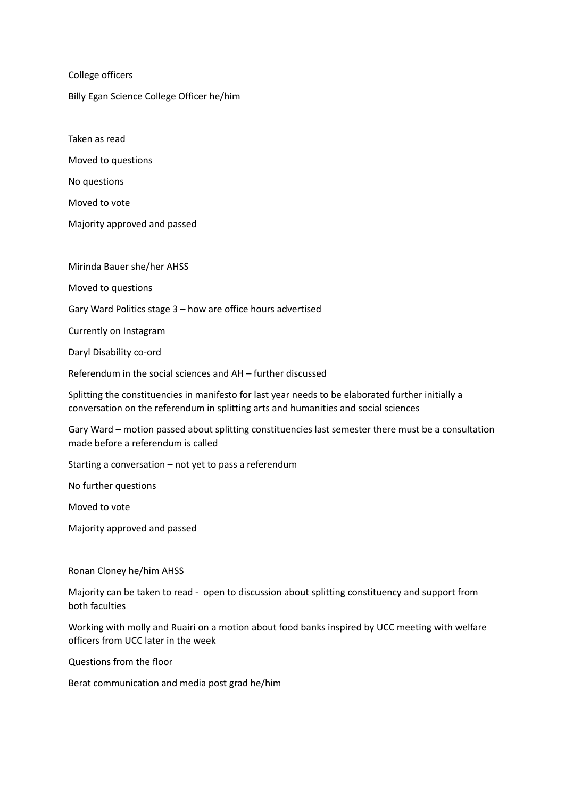College officers

Billy Egan Science College Officer he/him

Taken as read

Moved to questions

No questions

Moved to vote

Majority approved and passed

Mirinda Bauer she/her AHSS

Moved to questions

Gary Ward Politics stage 3 – how are office hours advertised

Currently on Instagram

Daryl Disability co-ord

Referendum in the social sciences and AH – further discussed

Splitting the constituencies in manifesto for last year needs to be elaborated further initially a conversation on the referendum in splitting arts and humanities and social sciences

Gary Ward – motion passed about splitting constituencies last semester there must be a consultation made before a referendum is called

Starting a conversation – not yet to pass a referendum

No further questions

Moved to vote

Majority approved and passed

Ronan Cloney he/him AHSS

Majority can be taken to read - open to discussion about splitting constituency and support from both faculties

Working with molly and Ruairi on a motion about food banks inspired by UCC meeting with welfare officers from UCC later in the week

Questions from the floor

Berat communication and media post grad he/him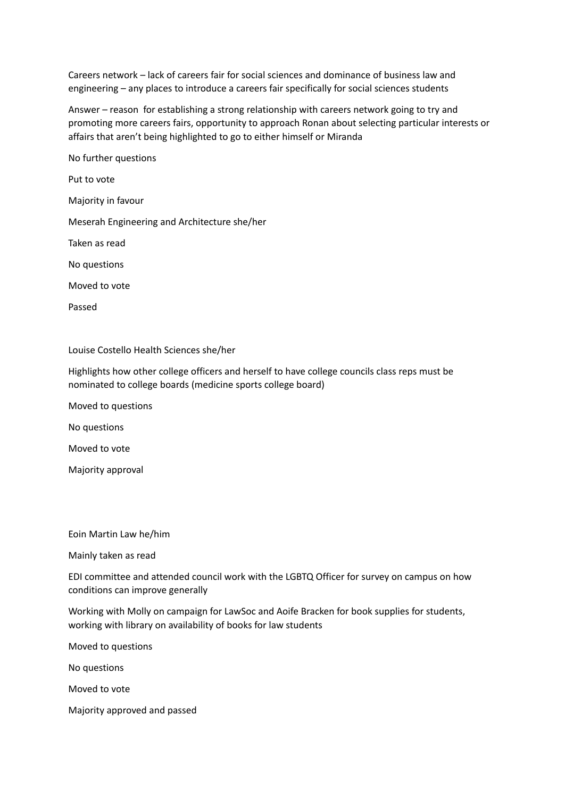Careers network – lack of careers fair for social sciences and dominance of business law and engineering – any places to introduce a careers fair specifically for social sciences students

Answer – reason for establishing a strong relationship with careers network going to try and promoting more careers fairs, opportunity to approach Ronan about selecting particular interests or affairs that aren't being highlighted to go to either himself or Miranda

No further questions Put to vote Majority in favour Meserah Engineering and Architecture she/her Taken as read No questions Moved to vote Passed

Louise Costello Health Sciences she/her

Highlights how other college officers and herself to have college councils class reps must be nominated to college boards (medicine sports college board)

Moved to questions

No questions

Moved to vote

Majority approval

Eoin Martin Law he/him

Mainly taken as read

EDI committee and attended council work with the LGBTQ Officer for survey on campus on how conditions can improve generally

Working with Molly on campaign for LawSoc and Aoife Bracken for book supplies for students, working with library on availability of books for law students

Moved to questions

No questions

Moved to vote

Majority approved and passed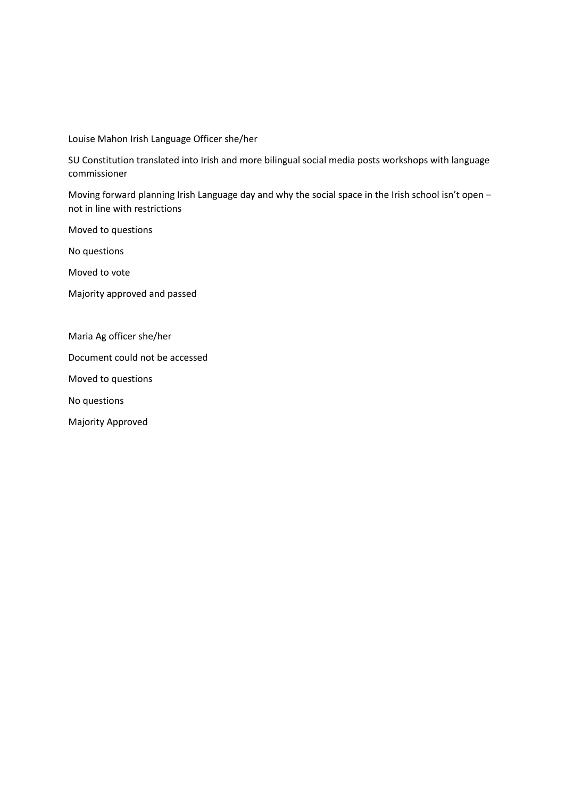Louise Mahon Irish Language Officer she/her

SU Constitution translated into Irish and more bilingual social media posts workshops with language commissioner

Moving forward planning Irish Language day and why the social space in the Irish school isn't open not in line with restrictions

Moved to questions

No questions

Moved to vote

Majority approved and passed

Maria Ag officer she/her

Document could not be accessed

Moved to questions

No questions

Majority Approved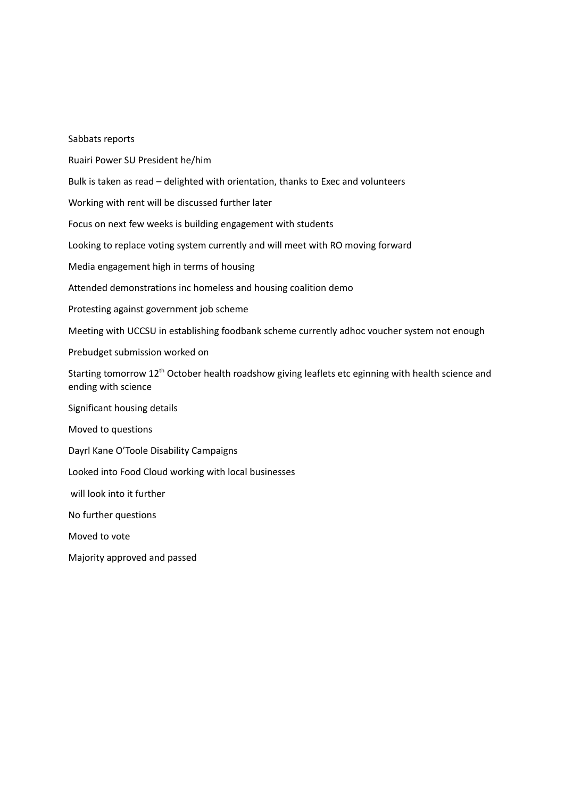| Sabbats reports                                                                                                                        |
|----------------------------------------------------------------------------------------------------------------------------------------|
| Ruairi Power SU President he/him                                                                                                       |
| Bulk is taken as read - delighted with orientation, thanks to Exec and volunteers                                                      |
| Working with rent will be discussed further later                                                                                      |
| Focus on next few weeks is building engagement with students                                                                           |
| Looking to replace voting system currently and will meet with RO moving forward                                                        |
| Media engagement high in terms of housing                                                                                              |
| Attended demonstrations inc homeless and housing coalition demo                                                                        |
| Protesting against government job scheme                                                                                               |
| Meeting with UCCSU in establishing foodbank scheme currently adhoc voucher system not enough                                           |
| Prebudget submission worked on                                                                                                         |
| Starting tomorrow 12 <sup>th</sup> October health roadshow giving leaflets etc eginning with health science and<br>ending with science |
| Significant housing details                                                                                                            |
| Moved to questions                                                                                                                     |
| Dayrl Kane O'Toole Disability Campaigns                                                                                                |
| Looked into Food Cloud working with local businesses                                                                                   |
| will look into it further                                                                                                              |
| No further questions                                                                                                                   |
| Moved to vote                                                                                                                          |
| Majority approved and passed                                                                                                           |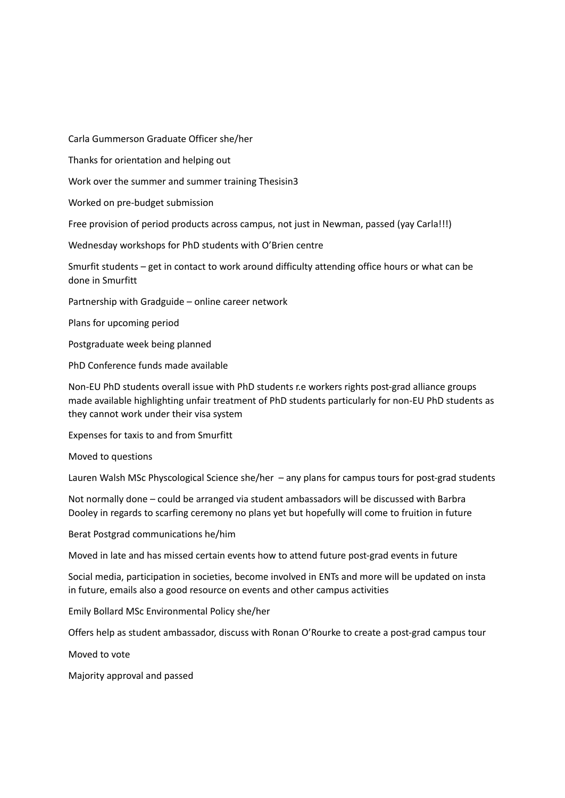Carla Gummerson Graduate Officer she/her

Thanks for orientation and helping out

Work over the summer and summer training Thesisin3

Worked on pre-budget submission

Free provision of period products across campus, not just in Newman, passed (yay Carla!!!)

Wednesday workshops for PhD students with O'Brien centre

Smurfit students – get in contact to work around difficulty attending office hours or what can be done in Smurfitt

Partnership with Gradguide – online career network

Plans for upcoming period

Postgraduate week being planned

PhD Conference funds made available

Non-EU PhD students overall issue with PhD students r.e workers rights post-grad alliance groups made available highlighting unfair treatment of PhD students particularly for non-EU PhD students as they cannot work under their visa system

Expenses for taxis to and from Smurfitt

Moved to questions

Lauren Walsh MSc Physcological Science she/her – any plans for campus tours for post-grad students

Not normally done – could be arranged via student ambassadors will be discussed with Barbra Dooley in regards to scarfing ceremony no plans yet but hopefully will come to fruition in future

Berat Postgrad communications he/him

Moved in late and has missed certain events how to attend future post-grad events in future

Social media, participation in societies, become involved in ENTs and more will be updated on insta in future, emails also a good resource on events and other campus activities

Emily Bollard MSc Environmental Policy she/her

Offers help as student ambassador, discuss with Ronan O'Rourke to create a post-grad campus tour

Moved to vote

Majority approval and passed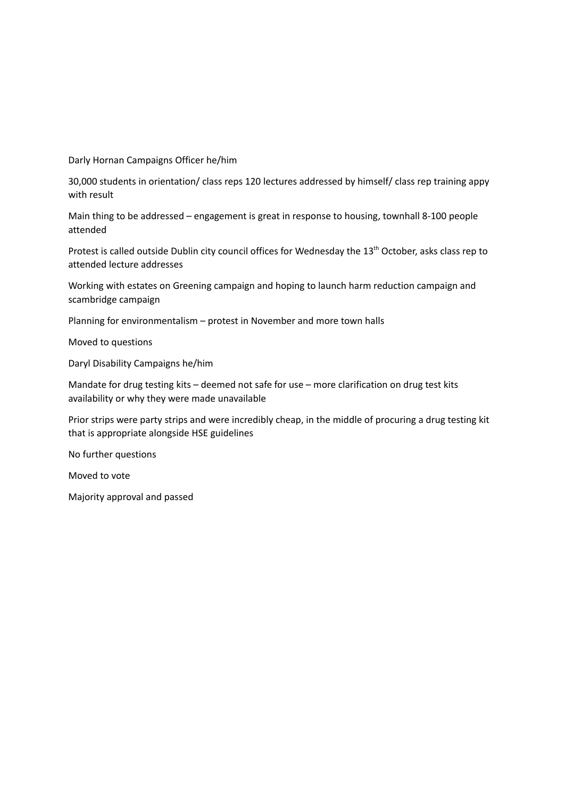Darly Hornan Campaigns Officer he/him

30,000 students in orientation/ class reps 120 lectures addressed by himself/ class rep training appy with result

Main thing to be addressed – engagement is great in response to housing, townhall 8-100 people attended

Protest is called outside Dublin city council offices for Wednesday the 13<sup>th</sup> October, asks class rep to attended lecture addresses

Working with estates on Greening campaign and hoping to launch harm reduction campaign and scambridge campaign

Planning for environmentalism – protest in November and more town halls

Moved to questions

Daryl Disability Campaigns he/him

Mandate for drug testing kits – deemed not safe for use – more clarification on drug test kits availability or why they were made unavailable

Prior strips were party strips and were incredibly cheap, in the middle of procuring a drug testing kit that is appropriate alongside HSE guidelines

No further questions

Moved to vote

Majority approval and passed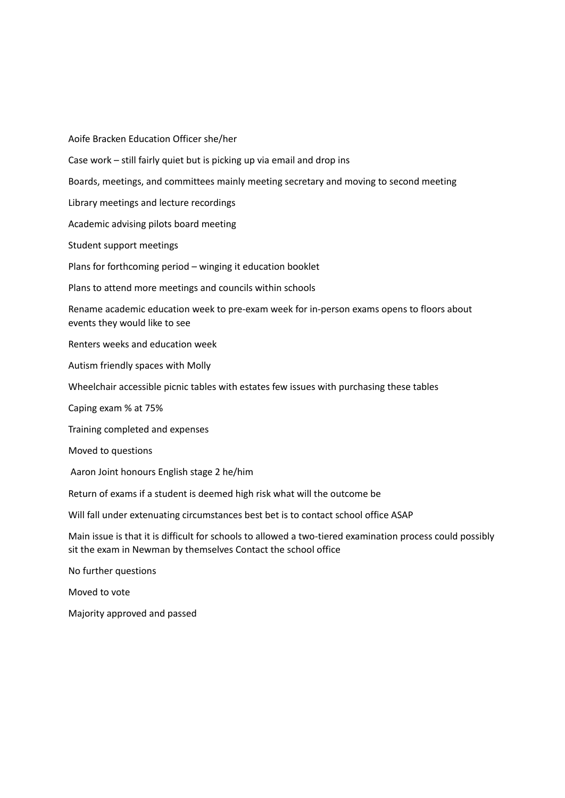Aoife Bracken Education Officer she/her Case work – still fairly quiet but is picking up via email and drop ins Boards, meetings, and committees mainly meeting secretary and moving to second meeting Library meetings and lecture recordings Academic advising pilots board meeting Student support meetings Plans for forthcoming period – winging it education booklet Plans to attend more meetings and councils within schools Rename academic education week to pre-exam week for in-person exams opens to floors about events they would like to see Renters weeks and education week Autism friendly spaces with Molly Wheelchair accessible picnic tables with estates few issues with purchasing these tables Caping exam % at 75% Training completed and expenses Moved to questions Aaron Joint honours English stage 2 he/him Return of exams if a student is deemed high risk what will the outcome be Will fall under extenuating circumstances best bet is to contact school office ASAP Main issue is that it is difficult for schools to allowed a two-tiered examination process could possibly sit the exam in Newman by themselves Contact the school office No further questions Moved to vote Majority approved and passed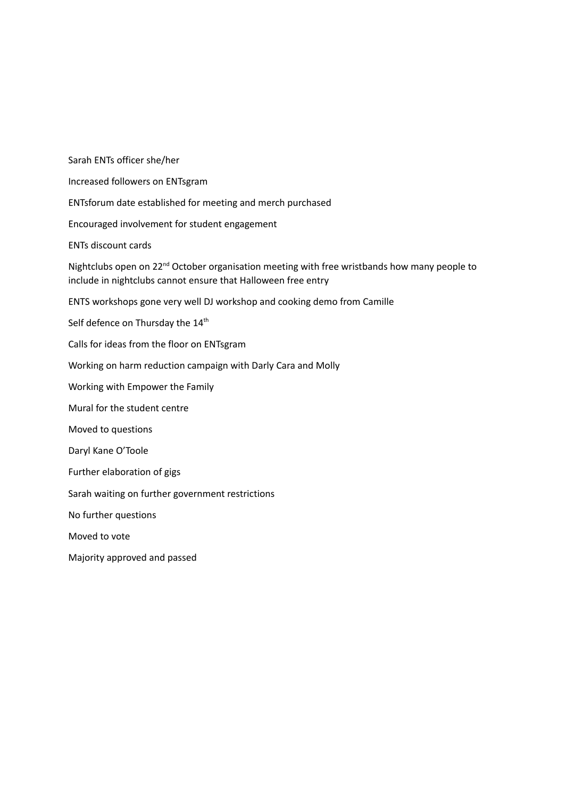Sarah ENTs officer she/her Increased followers on ENTsgram ENTsforum date established for meeting and merch purchased Encouraged involvement for student engagement ENTs discount cards Nightclubs open on 22<sup>nd</sup> October organisation meeting with free wristbands how many people to include in nightclubs cannot ensure that Halloween free entry ENTS workshops gone very well DJ workshop and cooking demo from Camille Self defence on Thursday the 14<sup>th</sup> Calls for ideas from the floor on ENTsgram Working on harm reduction campaign with Darly Cara and Molly Working with Empower the Family Mural for the student centre Moved to questions Daryl Kane O'Toole Further elaboration of gigs Sarah waiting on further government restrictions No further questions Moved to vote Majority approved and passed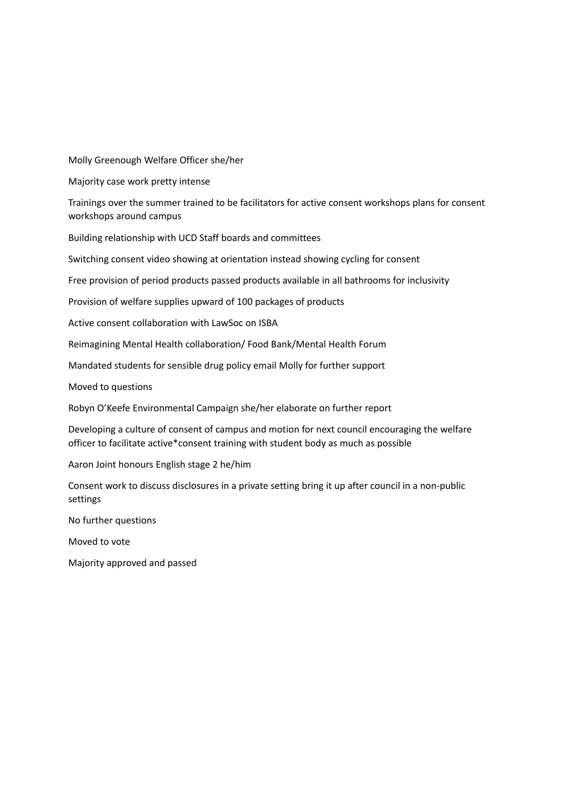Molly Greenough Welfare Officer she/her

Majority case work pretty intense

Trainings over the summer trained to be facilitators for active consent workshops plans for consent workshops around campus

Building relationship with UCD Staff boards and committees

Switching consent video showing at orientation instead showing cycling for consent

Free provision of period products passed products available in all bathrooms for inclusivity

Provision of welfare supplies upward of 100 packages of products

Active consent collaboration with LawSoc on ISBA

Reimagining Mental Health collaboration/ Food Bank/Mental Health Forum

Mandated students for sensible drug policy email Molly for further support

Moved to questions

Robyn O'Keefe Environmental Campaign she/her elaborate on further report

Developing a culture of consent of campus and motion for next council encouraging the welfare officer to facilitate active\*consent training with student body as much as possible

Aaron Joint honours English stage 2 he/him

Consent work to discuss disclosures in a private setting bring it up after council in a non-public settings

No further questions

Moved to vote

Majority approved and passed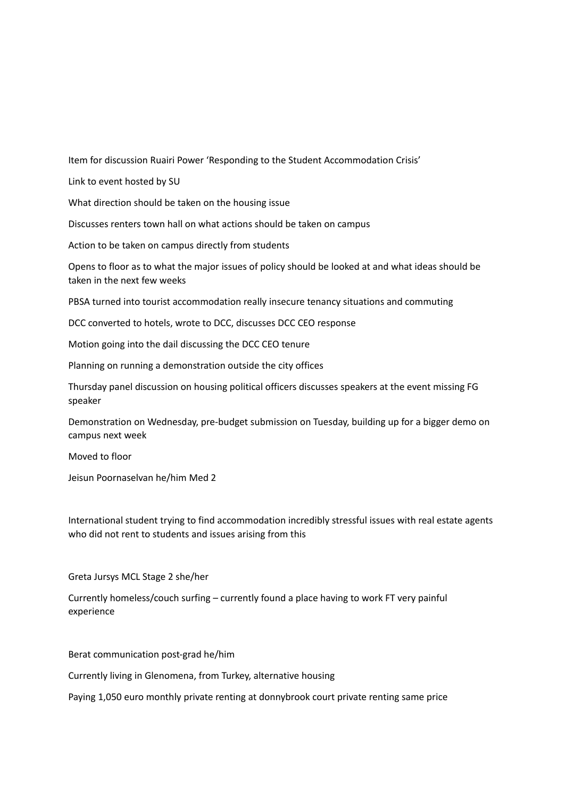Item for discussion Ruairi Power 'Responding to the Student Accommodation Crisis'

Link to event hosted by SU

What direction should be taken on the housing issue

Discusses renters town hall on what actions should be taken on campus

Action to be taken on campus directly from students

Opens to floor as to what the major issues of policy should be looked at and what ideas should be taken in the next few weeks

PBSA turned into tourist accommodation really insecure tenancy situations and commuting

DCC converted to hotels, wrote to DCC, discusses DCC CEO response

Motion going into the dail discussing the DCC CEO tenure

Planning on running a demonstration outside the city offices

Thursday panel discussion on housing political officers discusses speakers at the event missing FG speaker

Demonstration on Wednesday, pre-budget submission on Tuesday, building up for a bigger demo on campus next week

Moved to floor

Jeisun Poornaselvan he/him Med 2

International student trying to find accommodation incredibly stressful issues with real estate agents who did not rent to students and issues arising from this

Greta Jursys MCL Stage 2 she/her

Currently homeless/couch surfing – currently found a place having to work FT very painful experience

Berat communication post-grad he/him

Currently living in Glenomena, from Turkey, alternative housing

Paying 1,050 euro monthly private renting at donnybrook court private renting same price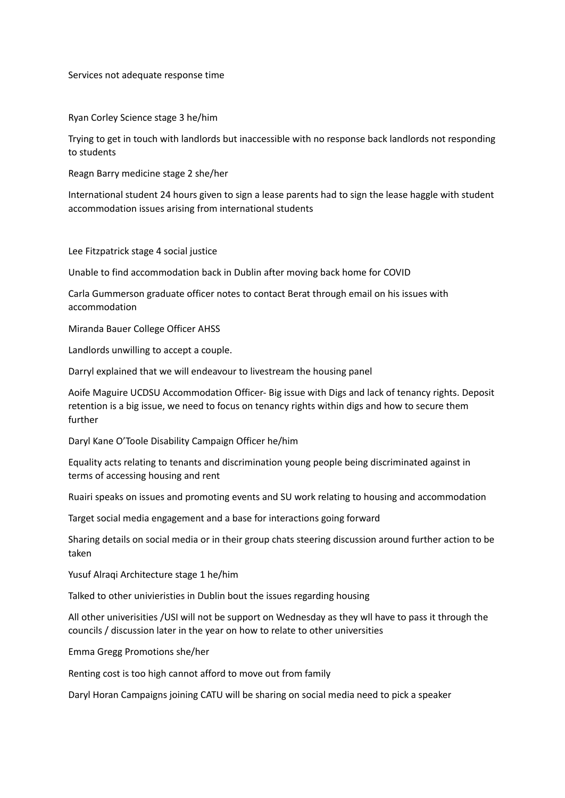Services not adequate response time

Ryan Corley Science stage 3 he/him

Trying to get in touch with landlords but inaccessible with no response back landlords not responding to students

Reagn Barry medicine stage 2 she/her

International student 24 hours given to sign a lease parents had to sign the lease haggle with student accommodation issues arising from international students

Lee Fitzpatrick stage 4 social justice

Unable to find accommodation back in Dublin after moving back home for COVID

Carla Gummerson graduate officer notes to contact Berat through email on his issues with accommodation

Miranda Bauer College Officer AHSS

Landlords unwilling to accept a couple.

Darryl explained that we will endeavour to livestream the housing panel

Aoife Maguire UCDSU Accommodation Officer- Big issue with Digs and lack of tenancy rights. Deposit retention is a big issue, we need to focus on tenancy rights within digs and how to secure them further

Daryl Kane O'Toole Disability Campaign Officer he/him

Equality acts relating to tenants and discrimination young people being discriminated against in terms of accessing housing and rent

Ruairi speaks on issues and promoting events and SU work relating to housing and accommodation

Target social media engagement and a base for interactions going forward

Sharing details on social media or in their group chats steering discussion around further action to be taken

Yusuf Alraqi Architecture stage 1 he/him

Talked to other univieristies in Dublin bout the issues regarding housing

All other univerisities /USI will not be support on Wednesday as they wll have to pass it through the councils / discussion later in the year on how to relate to other universities

Emma Gregg Promotions she/her

Renting cost is too high cannot afford to move out from family

Daryl Horan Campaigns joining CATU will be sharing on social media need to pick a speaker